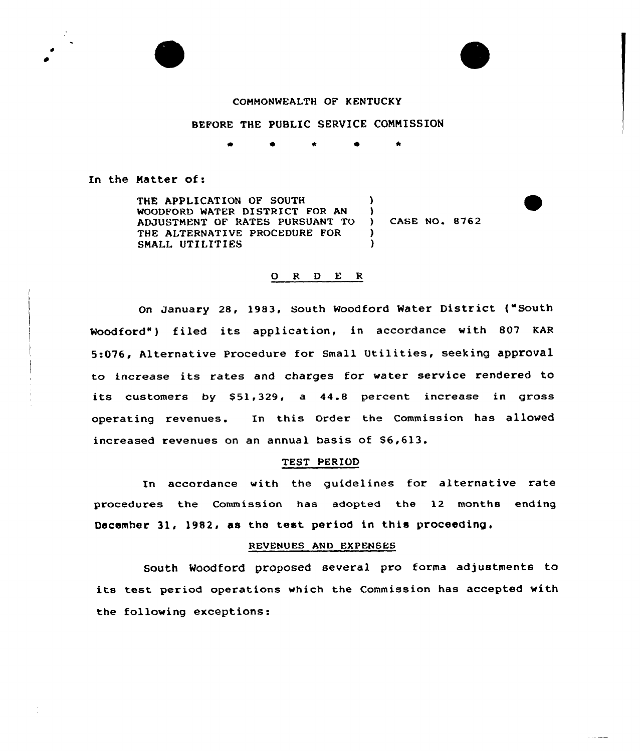

## COHHONWEALTH OF KENTUCKY

## BEFORE THE PUBLIC SERVICE CONHISSION

\* 0 \*

In the Natter of:

THE APPLICATION OF SOUTH WOODFORD WATER DISTRICT FOR AN ADJUSTHENT OF RATES PURSUANT TO THE ALTERNATIVE PROCEDVRE FOR SMALL UTILITIES ) )  $\lambda$ )

) CASE NO. 8762

and some

## 0 <sup>R</sup> <sup>D</sup> E <sup>R</sup>

On January 28, 1983, South Woodford Water District {"South Woodford") filed its application, in accordance with 807 KAR 5:076, Alternative procedure for small Utilities, seeking approval to increase its rates and charges for water service rendered to its customers by  $$51,329$ , a  $44.8$  percent increase in gross operating revenues. In this order the commission has allowed increased revenues on an annual basis of \$6,613.

## TEST PERIOD

In accordance with the guidelines for alternative rate procedures the Commission has adopted the 12 months ending December 31, 1982, as the test period in this proceeding,

## REVENUES AND EXPENSES

South Woodford proposed several pro forma adjustments to its test period operations which the Commission has accepted with the following exceptions: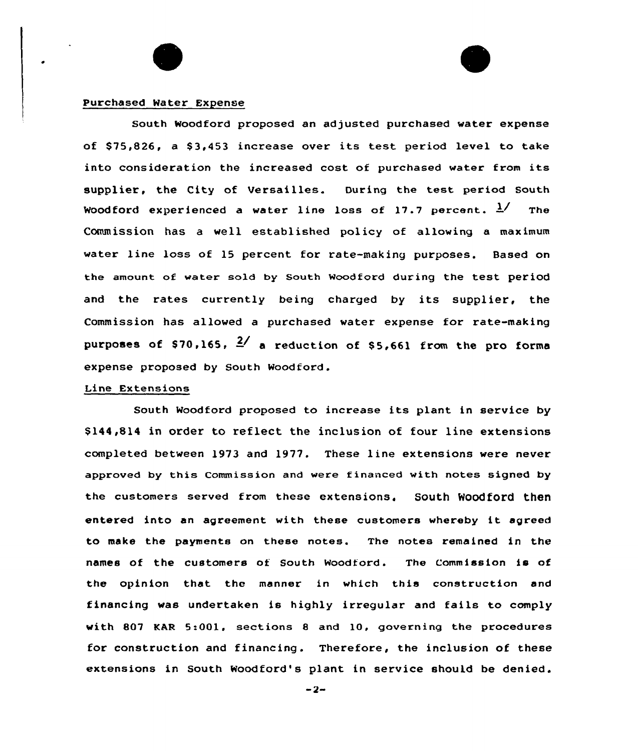## Purchased Water Expense

South Woodford proposed an adjusted purchased water expense of \$75,826, a \$3,453 increase over its test period level to take into consideration the increased cost of purchased water from its supplier, the City of Versailles. During the test period South Woodford experienced a water line loss of 17.7 percent.  $\frac{1}{2}$  The Commission has a well established policy of allowing a maximum water line loss of 15 percent for rate-making purposes. Based on the amount of water sold by South Woodford during the test period and the rates currently being charged by its supplier, the Commission has allowed a purchased water expense for rate-making purposes of \$70,165,  $\frac{2}{ }$  a reduction of \$5,661 from the pro forms expense proposed by South Woodford.

## Line Extensians

South Woodford proposed to increase its plant in service by \$ 144,814 in order to reflect the inclusion of four line extensions completed between 1973 and 1977. These line extensions were never approved by this Commission and were financed with notes signed by the customers served from these extensions. South Woodford then entered into an agreement with these customers whereby it agreed to make the payments on these notes. The notes remained in the names of the customers of South Woodford. The Commission is of the opinion that the manner in which this construction and financing was undertaken is highly irregular and fails to comply with 807 KAR 5:001, sections 8 and 10, governing the procedures for construction and financing. Therefore, the inclusion of these extensions in South Woodford's plant in service should be denied.

 $-2-$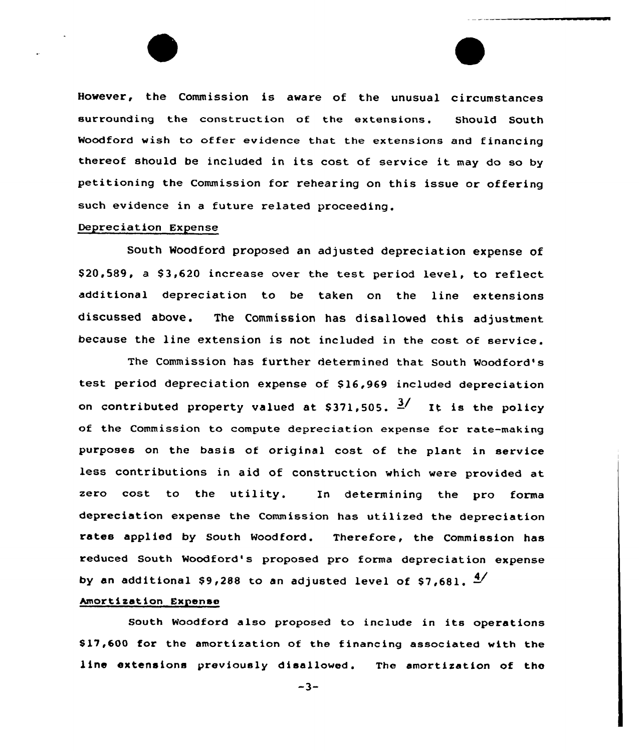However, the Commission is aware of the unusual circumstances surrounding the construction of the extensions. Should South Woodford wish to offer evidence that the extensions and financing thereof should be included in its cost of service it may do so by petitioning the Commission for rehearing on this issue or offering such evidence in a future related proceeding.

# Depreciation Expense

South Woodford proposed an adjusted depreciation expense of \$20.589, a \$3,620 increase over the test period level, to reflect additional depreciation to be taken on the line extensions discussed above. The Commission has disallowed this adjustment because the line extension is not included in the cost of service.

The Commission has further determined that South Woodford's test period depreciation expense of \$ 16,969 included depreciation on contributed property valued at  $$371,505$ .  $\frac{3}{ }$  It is the policy of the Commission to compute depreciation expense for rate-making purposes on the basis of original cost of the plant in service less contributions in aid of construction which were provided at zero cost to the utility. In determining the pro forma depreciation expense the Commission has utilized the depreciation rates applied by South Woodford. Therefore, the Commission has reduced South Woodford's proposed pro forma depreciation expense by an additional \$9,288 to an adjusted level of \$7,681.  $\frac{4}{3}$ 

## Amortization Expense

South Woodford also proposed to include in its operations \$ 17,600 for the amortization of the financing associated with the line extensions previously disallowed. The amortization of the

 $-3-$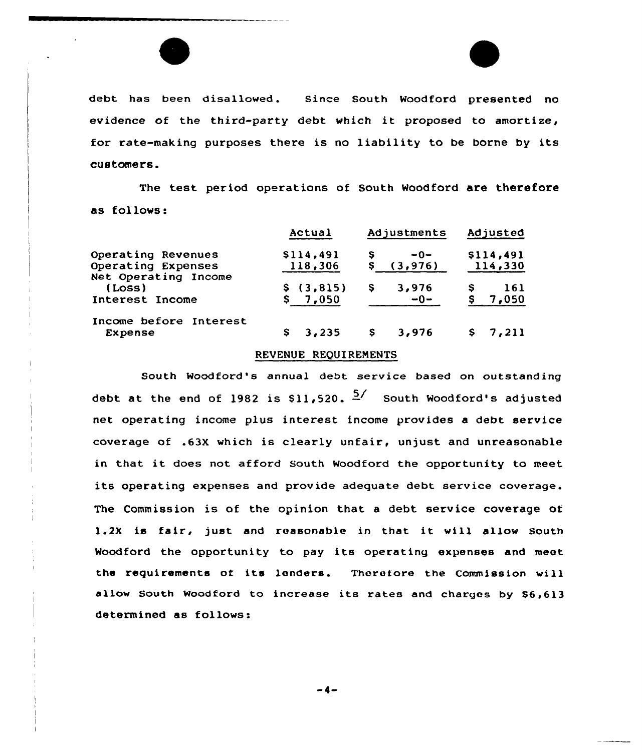

debt has been disallowed. Since South Woodford presented no evidence of the third-party debt which it proposed to amortize, for rate-making purposes there is no liability to be borne by its customers.

The test period operations of South Woodford are therefore as follows:

|                                                                  | Actual                 | Adjustments         | Adjusted             |
|------------------------------------------------------------------|------------------------|---------------------|----------------------|
| Operating Revenues<br>Operating Expenses<br>Net Operating Income | \$114,491<br>118,306   | $-0-$<br>(3, 976)   | \$114,491<br>114,330 |
| (Loss)<br>Interest Income                                        | \$ (3, 815)<br>\$7,050 | 3,976<br>s<br>$-0-$ | 161<br>7,050         |
| Income before Interest<br>Expense                                | 3,235<br>s             | 3,976<br>s          | \$7,211              |

## REVENUE REQUIRENENTS

South Woodford's annual debt service based on outstanding debt at the end of 1982 is  $$11,520 \cdot \frac{5}{7}$  South Woodford's adjusted net operating income plus interest income provides a debt service coverage of .63X which is clearly unfair, unjust and unreasonable in that it does not afford South Woodford the opportunity to meet its operating expenses and provide adequate debt service coverage. The Commission is of the opinion that a debt service coverage of 1.2X is fair, just and reasonable in that it will allow South Woodford the opportunity to pay its operating expenses and meet the requirements of its landers. Thorofore the Commission will allow South Moodford to increase its rates and charges by \$6,613 determined as follows:

-4-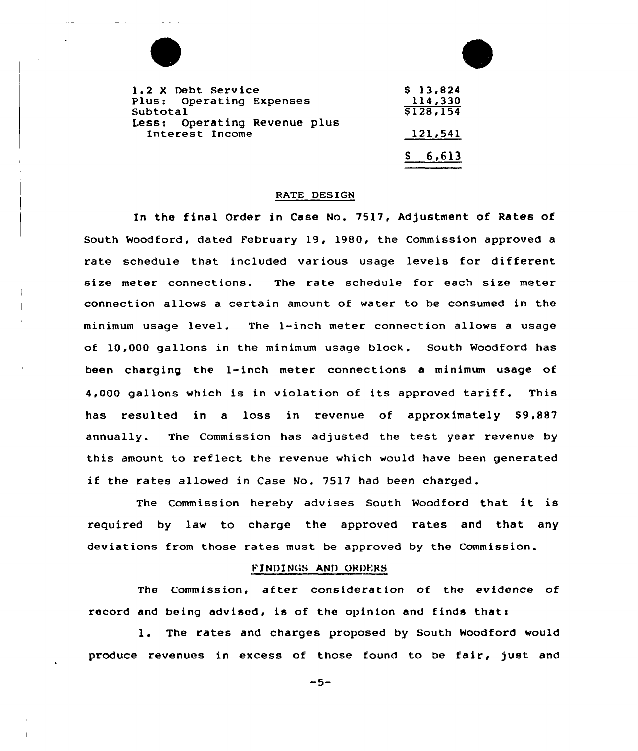

| 1.2 X Debt Service           | \$13,824  |
|------------------------------|-----------|
| Plus: Operating Expenses     | 114,330   |
| Subtotal                     | \$128,154 |
| Less: Operating Revenue plus |           |
| Interest Income              | 121,541   |
|                              | \$6,613   |

## RATE DESIGN

In the final Order in Case No. 7517, Adjustment of Rates of South Woodford, dated February 19, 1980, the Commission approved a rate schedule that included various usage levels for different size meter connections. The rate schedule for each size meter connection allows a certain amount of water to be consumed in the minimum usage level. The 1-inch meter connection allows a usage of 10,000 gallons in the minimum usage block. South Woodford has been charging the 1-inch meter connections a minimum usage ot 4,000 gallons which is in violation of its approved tariff. This has resulted in a loss in revenue of approximately \$9,887 annually. The Commission has adjusted the test year revenue by this amount to reflect the revenue which would have been generated if the rates allowed in Case No. 7517 had been charged.

The Commission hereby advises South Woodford that it is required by law to charge the approved rates and that any deviations from those rates must be approved by the Commission.

#### FINDINGS AND ORDERS

The Commission, after consideration of the evidence of record and being advised, is of the opinion and finds thats

1. The rates and charges proposed by South Woodford would produce revenues in excess of those found to be fair, just and

 $-5-$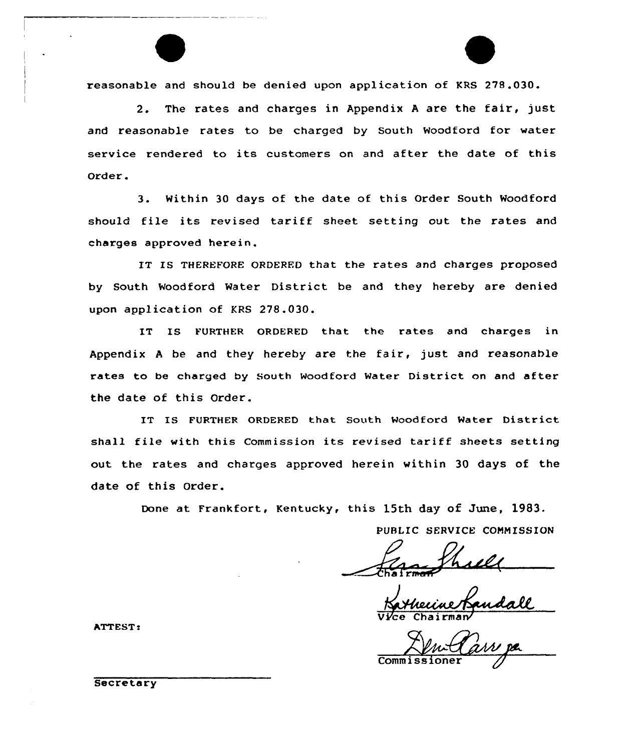reasonable and should be denied upon application of KRS 278.030.

2. The rates and charges in Appendix <sup>A</sup> are the fair, just and reasonable rates to be charged by South Woodford for water service rendered to its customers on and after the date of this Order .

3. Within 30 days of the date of this Order South Woodford should file its revised tariff sheet setting out the rates and charges approved herein,

IT IS THEREFORE ORDERED that the rates and charges proposed by South Woodford Water District be and they hereby are denied upon application of KRS 278.030.

IT IS FURTHER ORDERED that the rates and charges in Appendix <sup>A</sup> be and they hereby are the fair, just and reasonable rates to be charged by South Woodford Water District on and after the date of this Order.

IT IS FURTHER ORDERED that South Woodford Water District shall file with this Commission its revised tariff sheets setting out the rates and charges approved herein within 30 days of the date of this Order.

Done at Frankfort, Kentucky, this 15th day of June, 1983.

PUBLIC SERVICE CONNISSION

Vice Chairman

Comm<sup>i</sup>

ATTEST <sup>e</sup>

**Secretary**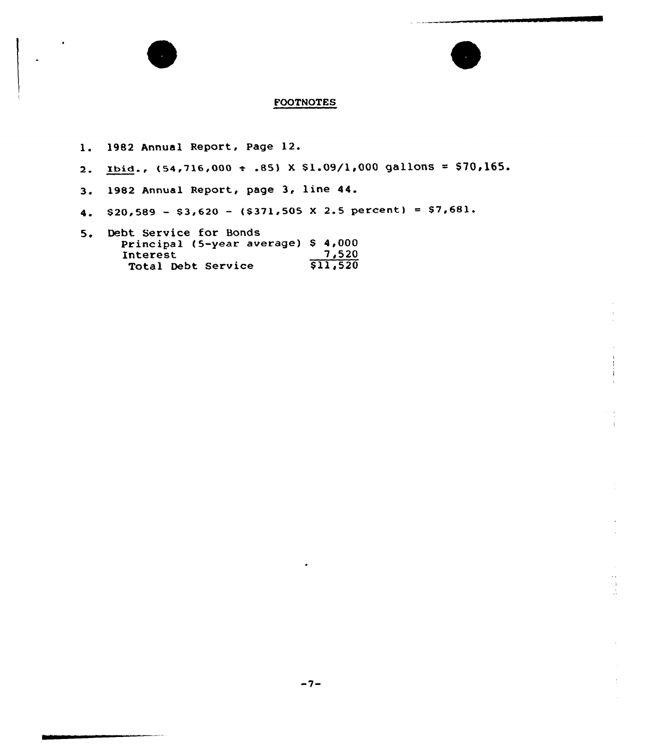# **FOOTNOTES**

- l. <sup>1982</sup> Annual Report, Page 12.
- 2. Ibid.,  $(54, 716, 000 + .85)$  X  $$1.09/1,000$  gallons = \$70,165.
- $3.$ 1982 Annual Report, page 3, line 44.
- 4.  $$20,589 $3,620 (\$371,505 \t{X} 2.5 \t{percent}) = $7,681.$
- 5. Debt Service for Bonds Principal (5-year average) \$ 4,000 Interest  $7,520$ The Service 1,520<br>Total Debt Service 511,520

 $\hat{1}$  .  $\frac{1}{\sqrt{3}}$